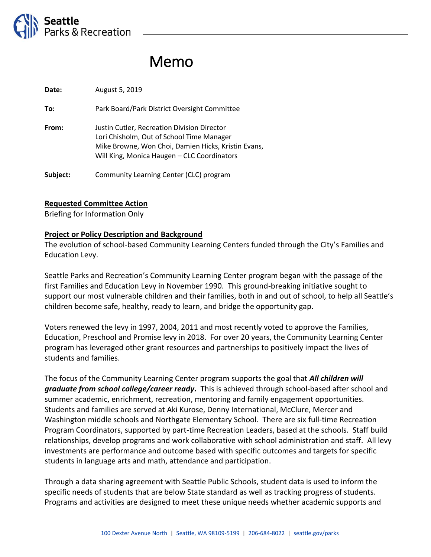

# Memo

**Date:** August 5, 2019

**To:** Park Board/Park District Oversight Committee

**From:** Justin Cutler, Recreation Division Director Lori Chisholm, Out of School Time Manager Mike Browne, Won Choi, Damien Hicks, Kristin Evans, Will King, Monica Haugen – CLC Coordinators

Subject: Community Learning Center (CLC) program

#### **Requested Committee Action**

Briefing for Information Only

#### **Project or Policy Description and Background**

The evolution of school-based Community Learning Centers funded through the City's Families and Education Levy.

Seattle Parks and Recreation's Community Learning Center program began with the passage of the first Families and Education Levy in November 1990. This ground-breaking initiative sought to support our most vulnerable children and their families, both in and out of school, to help all Seattle's children become safe, healthy, ready to learn, and bridge the opportunity gap.

Voters renewed the levy in 1997, 2004, 2011 and most recently voted to approve the Families, Education, Preschool and Promise levy in 2018. For over 20 years, the Community Learning Center program has leveraged other grant resources and partnerships to positively impact the lives of students and families.

The focus of the Community Learning Center program supports the goal that *All children will graduate from school college/career ready.* This is achieved through school-based after school and summer academic, enrichment, recreation, mentoring and family engagement opportunities. Students and families are served at Aki Kurose, Denny International, McClure, Mercer and Washington middle schools and Northgate Elementary School. There are six full-time Recreation Program Coordinators, supported by part-time Recreation Leaders, based at the schools. Staff build relationships, develop programs and work collaborative with school administration and staff. All levy investments are performance and outcome based with specific outcomes and targets for specific students in language arts and math, attendance and participation.

Through a data sharing agreement with Seattle Public Schools, student data is used to inform the specific needs of students that are below State standard as well as tracking progress of students. Programs and activities are designed to meet these unique needs whether academic supports and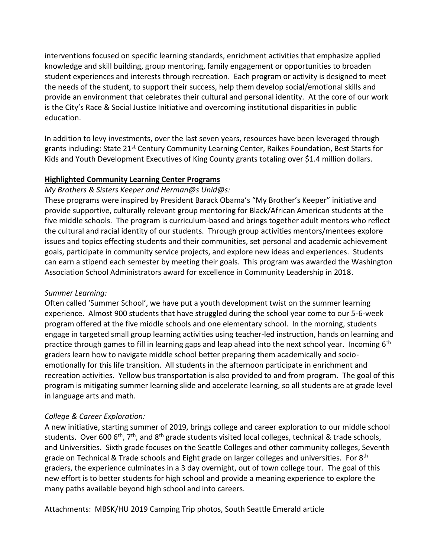interventions focused on specific learning standards, enrichment activities that emphasize applied knowledge and skill building, group mentoring, family engagement or opportunities to broaden student experiences and interests through recreation. Each program or activity is designed to meet the needs of the student, to support their success, help them develop social/emotional skills and provide an environment that celebrates their cultural and personal identity. At the core of our work is the City's Race & Social Justice Initiative and overcoming institutional disparities in public education.

In addition to levy investments, over the last seven years, resources have been leveraged through grants including: State 21<sup>st</sup> Century Community Learning Center, Raikes Foundation, Best Starts for Kids and Youth Development Executives of King County grants totaling over \$1.4 million dollars.

## **Highlighted Community Learning Center Programs**

## *My Brothers & Sisters Keeper and Herman@s Unid@s:*

These programs were inspired by President Barack Obama's "My Brother's Keeper" initiative and provide supportive, culturally relevant group mentoring for Black/African American students at the five middle schools. The program is curriculum-based and brings together adult mentors who reflect the cultural and racial identity of our students. Through group activities mentors/mentees explore issues and topics effecting students and their communities, set personal and academic achievement goals, participate in community service projects, and explore new ideas and experiences. Students can earn a stipend each semester by meeting their goals. This program was awarded the Washington Association School Administrators award for excellence in Community Leadership in 2018.

## *Summer Learning:*

Often called 'Summer School', we have put a youth development twist on the summer learning experience. Almost 900 students that have struggled during the school year come to our 5-6-week program offered at the five middle schools and one elementary school. In the morning, students engage in targeted small group learning activities using teacher-led instruction, hands on learning and practice through games to fill in learning gaps and leap ahead into the next school year. Incoming 6<sup>th</sup> graders learn how to navigate middle school better preparing them academically and socioemotionally for this life transition. All students in the afternoon participate in enrichment and recreation activities. Yellow bus transportation is also provided to and from program. The goal of this program is mitigating summer learning slide and accelerate learning, so all students are at grade level in language arts and math.

# *College & Career Exploration:*

A new initiative, starting summer of 2019, brings college and career exploration to our middle school students. Over 600  $6<sup>th</sup>$ , 7<sup>th</sup>, and 8<sup>th</sup> grade students visited local colleges, technical & trade schools, and Universities. Sixth grade focuses on the Seattle Colleges and other community colleges, Seventh grade on Technical & Trade schools and Eight grade on larger colleges and universities. For  $8<sup>th</sup>$ graders, the experience culminates in a 3 day overnight, out of town college tour. The goal of this new effort is to better students for high school and provide a meaning experience to explore the many paths available beyond high school and into careers.

Attachments: MBSK/HU 2019 Camping Trip photos, South Seattle Emerald article